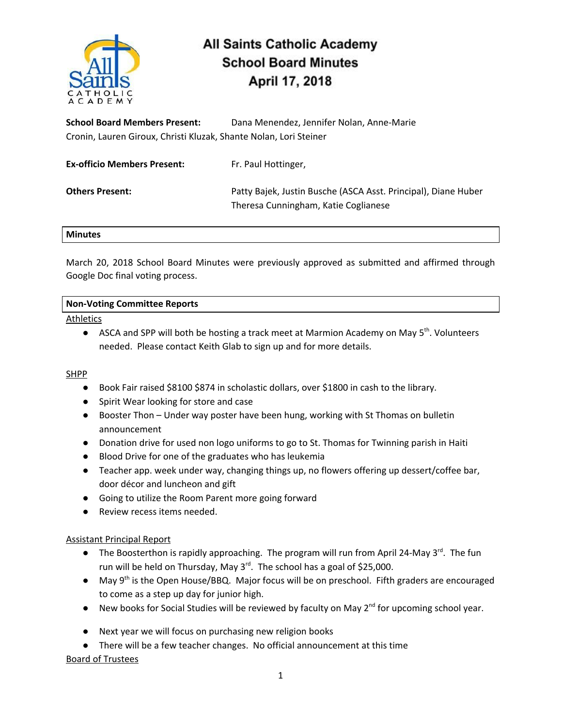

# **All Saints Catholic Academy School Board Minutes** April 17, 2018

**School Board Members Present:** Dana Menendez, Jennifer Nolan, Anne-Marie Cronin, Lauren Giroux, Christi Kluzak, Shante Nolan, Lori Steiner

| <b>Ex-officio Members Present:</b> | Fr. Paul Hottinger,                                                                                    |
|------------------------------------|--------------------------------------------------------------------------------------------------------|
| <b>Others Present:</b>             | Patty Bajek, Justin Busche (ASCA Asst. Principal), Diane Huber<br>Theresa Cunningham, Katie Coglianese |

#### **Minutes**

March 20, 2018 School Board Minutes were previously approved as submitted and affirmed through Google Doc final voting process.

## **Non-Voting Committee Reports**

Athletics

● ASCA and SPP will both be hosting a track meet at Marmion Academy on May 5<sup>th</sup>. Volunteers needed. Please contact Keith Glab to sign up and for more details.

## **SHPP**

- Book Fair raised \$8100 \$874 in scholastic dollars, over \$1800 in cash to the library.
- Spirit Wear looking for store and case
- Booster Thon Under way poster have been hung, working with St Thomas on bulletin announcement
- Donation drive for used non logo uniforms to go to St. Thomas for Twinning parish in Haiti
- Blood Drive for one of the graduates who has leukemia
- Teacher app. week under way, changing things up, no flowers offering up dessert/coffee bar, door décor and luncheon and gift
- Going to utilize the Room Parent more going forward
- Review recess items needed.

## Assistant Principal Report

- The Boosterthon is rapidly approaching. The program will run from April 24-May 3<sup>rd</sup>. The fun run will be held on Thursday, May 3<sup>rd</sup>. The school has a goal of \$25,000.
- May 9<sup>th</sup> is the Open House/BBQ. Major focus will be on preschool. Fifth graders are encouraged to come as a step up day for junior high.
- New books for Social Studies will be reviewed by faculty on May 2<sup>nd</sup> for upcoming school year.
- Next year we will focus on purchasing new religion books
- There will be a few teacher changes. No official announcement at this time

## Board of Trustees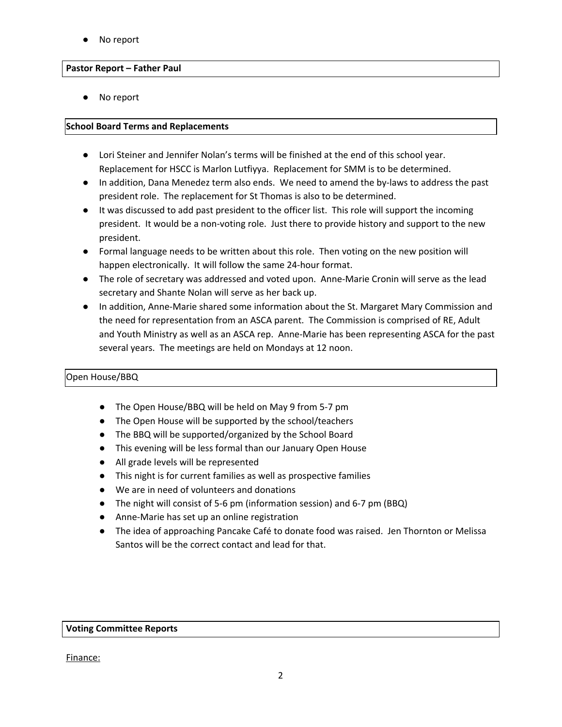No report

#### **Pastor Report – Father Paul**

No report

#### **School Board Terms and Replacements**

- Lori Steiner and Jennifer Nolan's terms will be finished at the end of this school year. Replacement for HSCC is Marlon Lutfiyya. Replacement for SMM is to be determined.
- In addition, Dana Menedez term also ends. We need to amend the by-laws to address the past president role. The replacement for St Thomas is also to be determined.
- It was discussed to add past president to the officer list. This role will support the incoming president. It would be a non-voting role. Just there to provide history and support to the new president.
- Formal language needs to be written about this role. Then voting on the new position will happen electronically. It will follow the same 24-hour format.
- The role of secretary was addressed and voted upon. Anne-Marie Cronin will serve as the lead secretary and Shante Nolan will serve as her back up.
- In addition, Anne-Marie shared some information about the St. Margaret Mary Commission and the need for representation from an ASCA parent. The Commission is comprised of RE, Adult and Youth Ministry as well as an ASCA rep. Anne-Marie has been representing ASCA for the past several years. The meetings are held on Mondays at 12 noon.

## Open House/BBQ

- The Open House/BBQ will be held on May 9 from 5-7 pm
- The Open House will be supported by the school/teachers
- The BBQ will be supported/organized by the School Board
- This evening will be less formal than our January Open House
- All grade levels will be represented
- This night is for current families as well as prospective families
- We are in need of volunteers and donations
- The night will consist of 5-6 pm (information session) and 6-7 pm (BBQ)
- Anne-Marie has set up an online registration
- The idea of approaching Pancake Café to donate food was raised. Jen Thornton or Melissa Santos will be the correct contact and lead for that.

#### **Voting Committee Reports**

Finance: